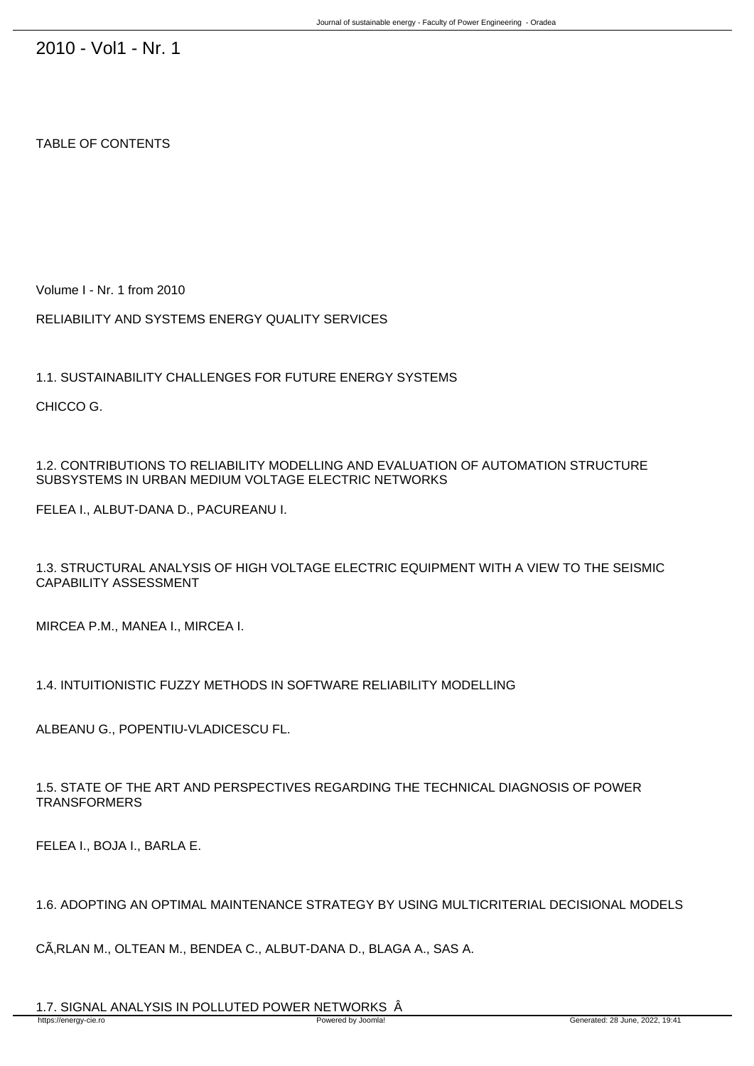2010 - Vol1 - Nr. 1

## TABLE OF CONTENTS

Volume I - Nr. 1 from 2010

RELIABILITY AND SYSTEMS ENERGY QUALITY SERVICES

1.1. SUSTAINABILITY CHALLENGES FOR FUTURE ENERGY SYSTEMS

CHICCO G.

1.2. CONTRIBUTIONS TO RELIABILITY MODELLING AND EVALUATION OF AUTOMATION STRUCTURE SUBSYSTEMS IN URBAN MEDIUM VOLTAGE ELECTRIC NETWORKS

FELEA I., ALBUT-DANA D., PACUREANU I.

1.3. STRUCTURAL ANALYSIS OF HIGH VOLTAGE ELECTRIC EQUIPMENT WITH A VIEW TO THE SEISMIC CAPABILITY ASSESSMENT 

MIRCEA P.M., MANEA I., MIRCEA I.

1.4. INTUITIONISTIC FUZZY METHODS IN SOFTWARE RELIABILITY MODELLING

ALBEANU G., POPENTIU-VLADICESCU FL.

1.5. STATE OF THE ART AND PERSPECTIVES REGARDING THE TECHNICAL DIAGNOSIS OF POWER **TRANSFORMERS** 

FELEA I., BOJA I., BARLA E.

1.6. ADOPTING AN OPTIMAL MAINTENANCE STRATEGY BY USING MULTICRITERIAL DECISIONAL MODELS 

CÂRLAN M., OLTEAN M., BENDEA C., ALBUT-DANA D., BLAGA A., SAS A.

1.7. SIGNAL ANALYSIS IN POLLUTED POWER NETWORKS  $\hat{A}$ https://energy-cie.ro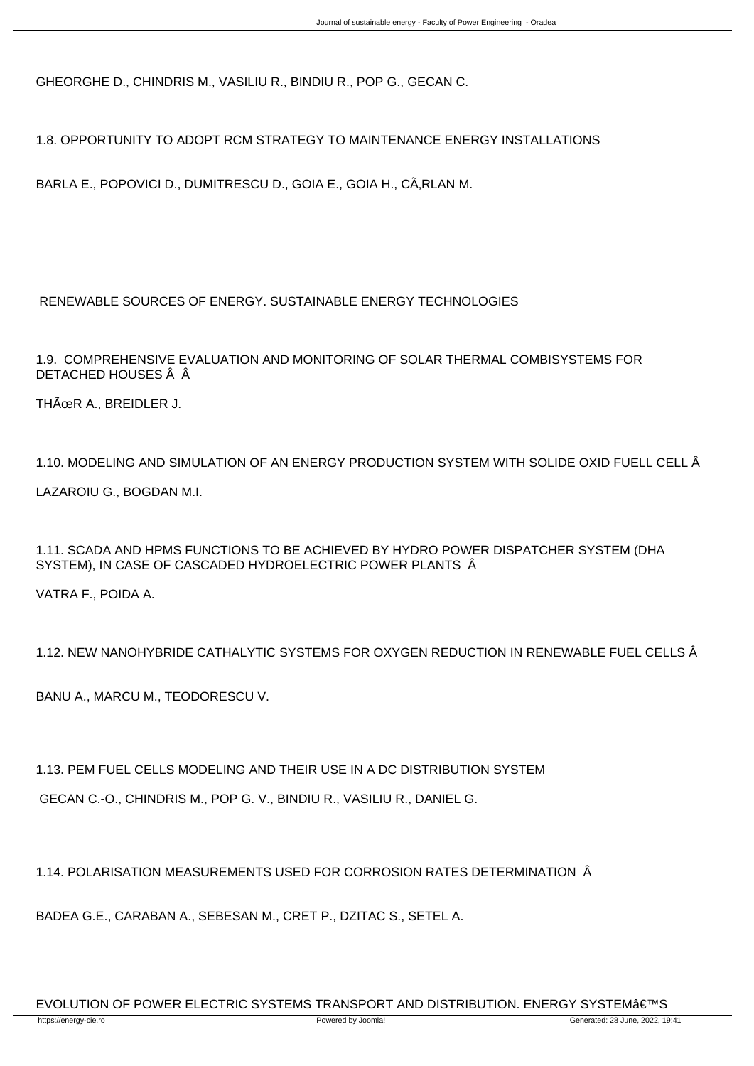GHEORGHE D., CHINDRIS M., VASILIU R., BINDIU R., POP G., GECAN C.

1.8. OPPORTUNITY TO ADOPT RCM STRATEGY TO MAINTENANCE ENERGY INSTALLATIONS 

BARLA E., POPOVICI D., DUMITRESCU D., GOIA E., GOIA H., CÂRLAN M.

RENEWABLE SOURCES OF ENERGY. SUSTAINABLE ENERGY TECHNOLOGIES

1.9. COMPREHENSIVE EVALUATION AND MONITORING OF SOLAR THERMAL COMBISYSTEMS FOR DETACHED HOUSES Â Â

THÜR A., BREIDLER J.

1.10. MODELING AND SIMULATION OF AN ENERGY PRODUCTION SYSTEM WITH SOLIDE OXID FUELL CELL Â LAZAROIU G., BOGDAN M.I.

1.11. SCADA AND HPMS FUNCTIONS TO BE ACHIEVED BY HYDRO POWER DISPATCHER SYSTEM (DHA SYSTEM), IN CASE OF CASCADED HYDROELECTRIC POWER PLANTS  $\hat{A}$ 

VATRA F., POIDA A.

1.12. NEW NANOHYBRIDE CATHALYTIC SYSTEMS FOR OXYGEN REDUCTION IN RENEWABLE FUEL CELLS Â

BANU A., MARCU M., TEODORESCU V.

1.13. PEM FUEL CELLS MODELING AND THEIR USE IN A DC DISTRIBUTION SYSTEM 

GECAN C.-O., CHINDRIS M., POP G. V., BINDIU R., VASILIU R., DANIEL G.

1.14. POLARISATION MEASUREMENTS USED FOR CORROSION RATES DETERMINATION Â

BADEA G.E., CARABAN A., SEBESAN M., CRET P., DZITAC S., SETEL A.